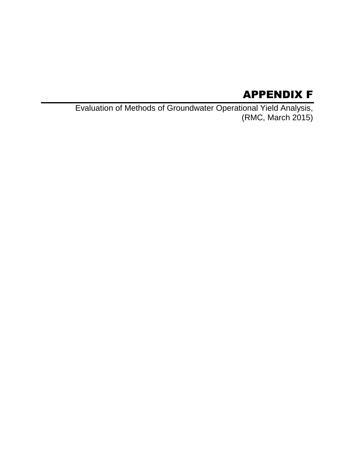# APPENDIX F

Evaluation of Methods of Groundwater Operational Yield Analysis, (RMC, March 2015)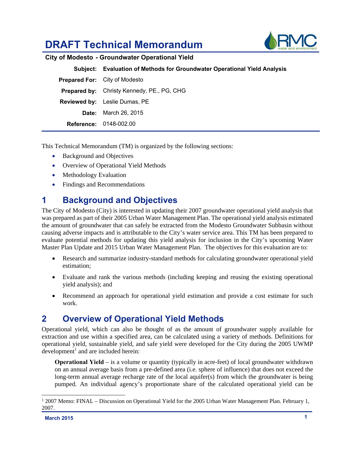# **DRAFT Technical Memorandum**



|                                      | Subject: Evaluation of Methods for Groundwater Operational Yield Analysis |  |  |  |
|--------------------------------------|---------------------------------------------------------------------------|--|--|--|
| <b>Prepared For:</b> City of Modesto |                                                                           |  |  |  |
|                                      | <b>Prepared by:</b> Christy Kennedy, PE., PG, CHG                         |  |  |  |
|                                      | <b>Reviewed by:</b> Leslie Dumas, PE                                      |  |  |  |
|                                      | <b>Date:</b> March 26, 2015                                               |  |  |  |
|                                      | <b>Reference: 0148-002.00</b>                                             |  |  |  |

This Technical Memorandum (TM) is organized by the following sections:

- Background and Objectives
- Overview of Operational Yield Methods
- Methodology Evaluation
- Findings and Recommendations

# **1 Background and Objectives**

The City of Modesto (City) is interested in updating their 2007 groundwater operational yield analysis that was prepared as part of their 2005 Urban Water Management Plan. The operational yield analysis estimated the amount of groundwater that can safely be extracted from the Modesto Groundwater Subbasin without causing adverse impacts and is attributable to the City's water service area. This TM has been prepared to evaluate potential methods for updating this yield analysis for inclusion in the City's upcoming Water Master Plan Update and 2015 Urban Water Management Plan. The objectives for this evaluation are to:

- Research and summarize industry-standard methods for calculating groundwater operational yield estimation;
- Evaluate and rank the various methods (including keeping and reusing the existing operational yield analysis); and
- Recommend an approach for operational yield estimation and provide a cost estimate for such work.

# **2 Overview of Operational Yield Methods**

Operational yield, which can also be thought of as the amount of groundwater supply available for extraction and use within a specified area, can be calculated using a variety of methods. Definitions for operational yield, sustainable yield, and safe yield were developed for the City during the 2005 UWMP  $development<sup>1</sup>$  and are included herein:

**Operational Yield** – is a volume or quantity (typically in acre-feet) of local groundwater withdrawn on an annual average basis from a pre-defined area (i.e. sphere of influence) that does not exceed the long-term annual average recharge rate of the local aquifer(s) from which the groundwater is being pumped. An individual agency's proportionate share of the calculated operational yield can be

-

<sup>&</sup>lt;sup>1</sup> 2007 Memo: FINAL – Discussion on Operational Yield for the 2005 Urban Water Management Plan. February 1, 2007.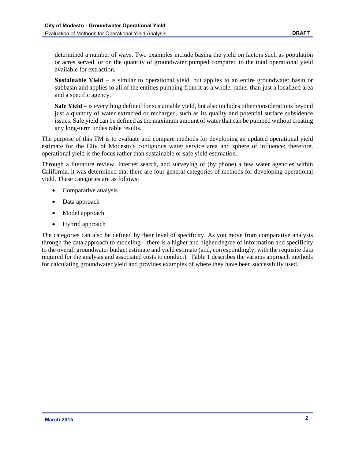determined a number of ways. Two examples include basing the yield on factors such as population or acres served, or on the quantity of groundwater pumped compared to the total operational yield available for extraction.

**Sustainable Yield** – is similar to operational yield, but applies to an entire groundwater basin or subbasin and applies to all of the entities pumping from it as a whole, rather than just a localized area and a specific agency.

**Safe Yield** – is everything defined for sustainable yield, but also includes other considerations beyond just a quantity of water extracted or recharged, such as its quality and potential surface subsidence issues. Safe yield can be defined as the maximum amount of water that can be pumped without creating any long-term undesirable results.

The purpose of this TM is to evaluate and compare methods for developing an updated operational yield estimate for the City of Modesto's contiguous water service area and sphere of influence; therefore, operational yield is the focus rather than sustainable or safe yield estimation.

Through a literature review, Internet search, and surveying of (by phone) a few water agencies within California, it was determined that there are four general categories of methods for developing operational yield. These categories are as follows:

- Comparative analysis
- Data approach
- Model approach
- Hybrid approach

The categories can also be defined by their level of specificity. As you move from comparative analysis through the data approach to modeling – there is a higher and higher degree of information and specificity to the overall groundwater budget estimate and yield estimate (and, correspondingly, with the requisite data required for the analysis and associated costs to conduct). Table 1 describes the various approach methods for calculating groundwater yield and provides examples of where they have been successfully used.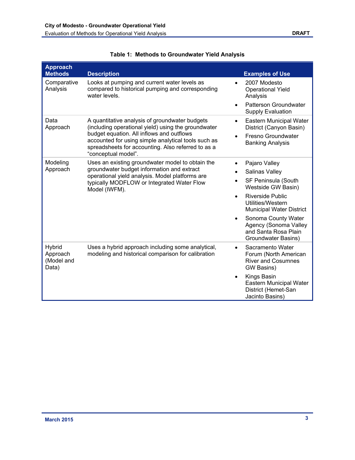| <b>Approach</b><br><b>Methods</b>         | <b>Description</b>                                                                                                                                                                                                                                                                     | <b>Examples of Use</b>                                                                                                  |
|-------------------------------------------|----------------------------------------------------------------------------------------------------------------------------------------------------------------------------------------------------------------------------------------------------------------------------------------|-------------------------------------------------------------------------------------------------------------------------|
| Comparative<br>Analysis                   | Looks at pumping and current water levels as<br>compared to historical pumping and corresponding<br>water levels.                                                                                                                                                                      | 2007 Modesto<br><b>Operational Yield</b><br>Analysis                                                                    |
|                                           |                                                                                                                                                                                                                                                                                        | Patterson Groundwater<br><b>Supply Evaluation</b>                                                                       |
| Data<br>Approach                          | A quantitative analysis of groundwater budgets<br>(including operational yield) using the groundwater<br>budget equation. All inflows and outflows<br>accounted for using simple analytical tools such as<br>spreadsheets for accounting. Also referred to as a<br>"conceptual model". | <b>Eastern Municipal Water</b><br>$\bullet$<br>District (Canyon Basin)<br>Fresno Groundwater<br><b>Banking Analysis</b> |
| Modeling<br>Approach                      | Uses an existing groundwater model to obtain the<br>groundwater budget information and extract                                                                                                                                                                                         | Pajaro Valley<br>Salinas Valley                                                                                         |
|                                           | operational yield analysis. Model platforms are<br>typically MODFLOW or Integrated Water Flow<br>Model (IWFM).                                                                                                                                                                         | SF Peninsula (South<br>Westside GW Basin)                                                                               |
|                                           |                                                                                                                                                                                                                                                                                        | Riverside Public<br>Utilities/Western<br><b>Municipal Water District</b>                                                |
|                                           |                                                                                                                                                                                                                                                                                        | Sonoma County Water<br>$\bullet$<br>Agency (Sonoma Valley<br>and Santa Rosa Plain<br>Groundwater Basins)                |
| Hybrid<br>Approach<br>(Model and<br>Data) | Uses a hybrid approach including some analytical,<br>modeling and historical comparison for calibration                                                                                                                                                                                | Sacramento Water<br>$\bullet$<br>Forum (North American<br><b>River and Cosumnes</b><br>GW Basins)                       |
|                                           |                                                                                                                                                                                                                                                                                        | Kings Basin<br>Eastern Municipal Water<br>District (Hemet-San<br>Jacinto Basins)                                        |

|  |  |  | <b>Table 1: Methods to Groundwater Yield Analysis</b> |  |  |
|--|--|--|-------------------------------------------------------|--|--|
|--|--|--|-------------------------------------------------------|--|--|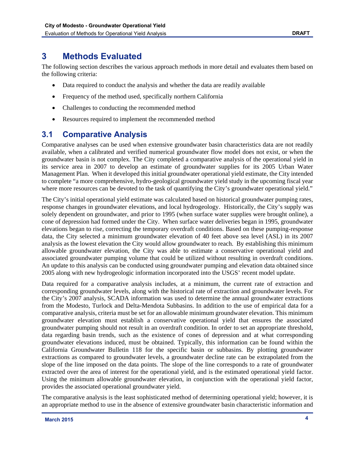# **3 Methods Evaluated**

The following section describes the various approach methods in more detail and evaluates them based on the following criteria:

- Data required to conduct the analysis and whether the data are readily available
- Frequency of the method used, specifically northern California
- Challenges to conducting the recommended method
- Resources required to implement the recommended method

### **3.1 Comparative Analysis**

Comparative analyses can be used when extensive groundwater basin characteristics data are not readily available, when a calibrated and verified numerical groundwater flow model does not exist, or when the groundwater basin is not complex. The City completed a comparative analysis of the operational yield in its service area in 2007 to develop an estimate of groundwater supplies for its 2005 Urban Water Management Plan. When it developed this initial groundwater operational yield estimate, the City intended to complete "a more comprehensive, hydro-geological groundwater yield study in the upcoming fiscal year where more resources can be devoted to the task of quantifying the City's groundwater operational yield."

The City's initial operational yield estimate was calculated based on historical groundwater pumping rates, response changes in groundwater elevations, and local hydrogeology. Historically, the City's supply was solely dependent on groundwater, and prior to 1995 (when surface water supplies were brought online), a cone of depression had formed under the City. When surface water deliveries began in 1995, groundwater elevations began to rise, correcting the temporary overdraft conditions. Based on these pumping-response data, the City selected a minimum groundwater elevation of 40 feet above sea level (ASL) in its 2007 analysis as the lowest elevation the City would allow groundwater to reach. By establishing this minimum allowable groundwater elevation, the City was able to estimate a conservative operational yield and associated groundwater pumping volume that could be utilized without resulting in overdraft conditions. An update to this analysis can be conducted using groundwater pumping and elevation data obtained since 2005 along with new hydrogeologic information incorporated into the USGS' recent model update.

Data required for a comparative analysis includes, at a minimum, the current rate of extraction and corresponding groundwater levels, along with the historical rate of extraction and groundwater levels. For the City's 2007 analysis, SCADA information was used to determine the annual groundwater extractions from the Modesto, Turlock and Delta-Mendota Subbasins. In addition to the use of empirical data for a comparative analysis, criteria must be set for an allowable minimum groundwater elevation. This minimum groundwater elevation must establish a conservative operational yield that ensures the associated groundwater pumping should not result in an overdraft condition. In order to set an appropriate threshold, data regarding basin trends, such as the existence of cones of depression and at what corresponding groundwater elevations induced, must be obtained. Typically, this information can be found within the California Groundwater Bulletin 118 for the specific basin or subbasins. By plotting groundwater extractions as compared to groundwater levels, a groundwater decline rate can be extrapolated from the slope of the line imposed on the data points. The slope of the line corresponds to a rate of groundwater extracted over the area of interest for the operational yield, and is the estimated operational yield factor. Using the minimum allowable groundwater elevation, in conjunction with the operational yield factor, provides the associated operational groundwater yield.

The comparative analysis is the least sophisticated method of determining operational yield; however, it is an appropriate method to use in the absence of extensive groundwater basin characteristic information and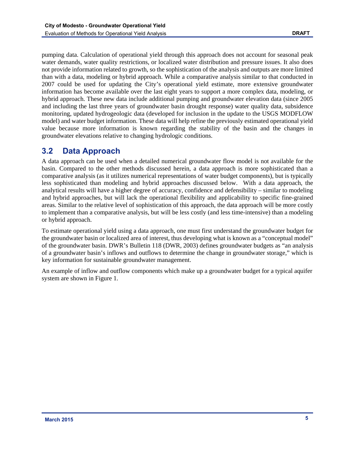pumping data. Calculation of operational yield through this approach does not account for seasonal peak water demands, water quality restrictions, or localized water distribution and pressure issues. It also does not provide information related to growth, so the sophistication of the analysis and outputs are more limited than with a data, modeling or hybrid approach. While a comparative analysis similar to that conducted in 2007 could be used for updating the City's operational yield estimate, more extensive groundwater information has become available over the last eight years to support a more complex data, modeling, or hybrid approach. These new data include additional pumping and groundwater elevation data (since 2005 and including the last three years of groundwater basin drought response) water quality data, subsidence monitoring, updated hydrogeologic data (developed for inclusion in the update to the USGS MODFLOW model) and water budget information. These data will help refine the previously estimated operational yield value because more information is known regarding the stability of the basin and the changes in groundwater elevations relative to changing hydrologic conditions.

## **3.2 Data Approach**

A data approach can be used when a detailed numerical groundwater flow model is not available for the basin. Compared to the other methods discussed herein, a data approach is more sophisticated than a comparative analysis (as it utilizes numerical representations of water budget components), but is typically less sophisticated than modeling and hybrid approaches discussed below. With a data approach, the analytical results will have a higher degree of accuracy, confidence and defensibility – similar to modeling and hybrid approaches, but will lack the operational flexibility and applicability to specific fine-grained areas. Similar to the relative level of sophistication of this approach, the data approach will be more costly to implement than a comparative analysis, but will be less costly (and less time-intensive) than a modeling or hybrid approach.

To estimate operational yield using a data approach, one must first understand the groundwater budget for the groundwater basin or localized area of interest, thus developing what is known as a "conceptual model" of the groundwater basin. DWR's Bulletin 118 (DWR, 2003) defines groundwater budgets as "an analysis of a groundwater basin's inflows and outflows to determine the change in groundwater storage," which is key information for sustainable groundwater management.

An example of inflow and outflow components which make up a groundwater budget for a typical aquifer system are shown in Figure 1.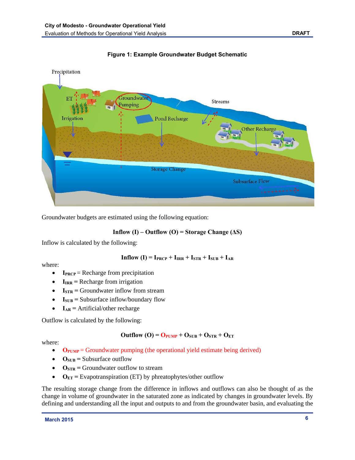



Groundwater budgets are estimated using the following equation:

#### **Inflow (I) – Outflow (O) = Storage Change (** $\Delta S$ **)**

Inflow is calculated by the following:

$$
Inflow (I) = I_{PRCP} + I_{IRR} + I_{STR} + I_{SUB} + I_{AR}
$$

where:

- **IPRCP** = Recharge from precipitation
- $I_{IRR}$  = Recharge from irrigation
- $I_{STR}$  = Groundwater inflow from stream
- $I_{SUB}$  = Subsurface inflow/boundary flow
- $I_{AR}$  = Artificial/other recharge

Outflow is calculated by the following:

#### $\text{Outflow (O)} = \text{O}_{\text{PUMP}} + \text{O}_{\text{SUB}} + \text{O}_{\text{STR}} + \text{O}_{\text{ET}}$

where:

- O<sub>PUMP</sub> = Groundwater pumping (the operational yield estimate being derived)
- $\bullet$   $\mathbf{O}_{\text{SUB}}$  = Subsurface outflow
- $\bullet$   $\mathbf{O}_{STR}$  = Groundwater outflow to stream
- $\bullet$   $\mathbf{O}_{ET}$  = Evapotranspiration (ET) by phreatophytes/other outflow

The resulting storage change from the difference in inflows and outflows can also be thought of as the change in volume of groundwater in the saturated zone as indicated by changes in groundwater levels. By defining and understanding all the input and outputs to and from the groundwater basin, and evaluating the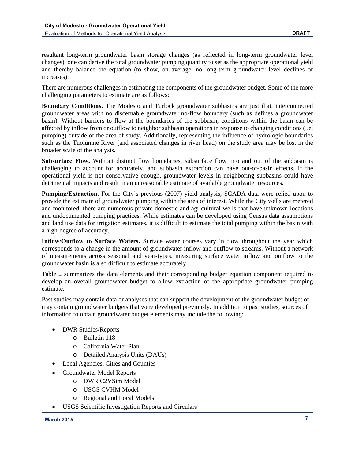resultant long-term groundwater basin storage changes (as reflected in long-term groundwater level changes), one can derive the total groundwater pumping quantity to set as the appropriate operational yield and thereby balance the equation (to show, on average, no long-term groundwater level declines or increases).

There are numerous challenges in estimating the components of the groundwater budget. Some of the more challenging parameters to estimate are as follows:

**Boundary Conditions.** The Modesto and Turlock groundwater subbasins are just that, interconnected groundwater areas with no discernable groundwater no-flow boundary (such as defines a groundwater basin). Without barriers to flow at the boundaries of the subbasin, conditions within the basin can be affected by inflow from or outflow to neighbor subbasin operations in response to changing conditions (i.e. pumping) outside of the area of study. Additionally, representing the influence of hydrologic boundaries such as the Tuolumne River (and associated changes in river head) on the study area may be lost in the broader scale of the analysis.

**Subsurface Flow.** Without distinct flow boundaries, subsurface flow into and out of the subbasin is challenging to account for accurately, and subbasin extraction can have out-of-basin effects. If the operational yield is not conservative enough, groundwater levels in neighboring subbasins could have detrimental impacts and result in an unreasonable estimate of available groundwater resources.

**Pumping/Extraction.** For the City's previous (2007) yield analysis, SCADA data were relied upon to provide the estimate of groundwater pumping within the area of interest. While the City wells are metered and monitored, there are numerous private domestic and agricultural wells that have unknown locations and undocumented pumping practices. While estimates can be developed using Census data assumptions and land use data for irrigation estimates, it is difficult to estimate the total pumping within the basin with a high-degree of accuracy.

**Inflow/Outflow to Surface Waters.** Surface water courses vary in flow throughout the year which corresponds to a change in the amount of groundwater inflow and outflow to streams. Without a network of measurements across seasonal and year-types, measuring surface water inflow and outflow to the groundwater basin is also difficult to estimate accurately.

Table 2 summarizes the data elements and their corresponding budget equation component required to develop an overall groundwater budget to allow extraction of the appropriate groundwater pumping estimate.

Past studies may contain data or analyses that can support the development of the groundwater budget or may contain groundwater budgets that were developed previously. In addition to past studies, sources of information to obtain groundwater budget elements may include the following:

- DWR Studies/Reports
	- o Bulletin 118
	- o California Water Plan
	- o Detailed Analysis Units (DAUs)
- Local Agencies, Cities and Counties
- Groundwater Model Reports
	- o DWR C2VSim Model
		- o USGS CVHM Model
	- o Regional and Local Models
- USGS Scientific Investigation Reports and Circulars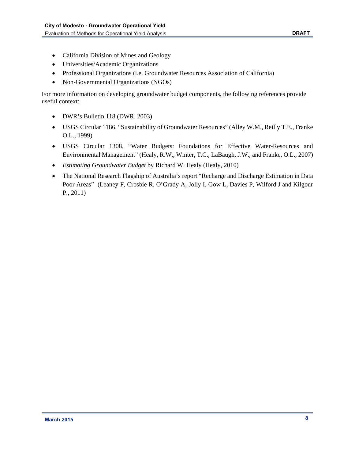- California Division of Mines and Geology
- Universities/Academic Organizations
- Professional Organizations (i.e. Groundwater Resources Association of California)
- Non-Governmental Organizations (NGOs)

For more information on developing groundwater budget components, the following references provide useful context:

- DWR's Bulletin 118 (DWR, 2003)
- USGS Circular 1186, "Sustainability of Groundwater Resources" (Alley W.M., Reilly T.E., Franke O.L., 1999)
- USGS Circular 1308, "Water Budgets: Foundations for Effective Water-Resources and Environmental Management" (Healy, R.W., Winter, T.C., LaBaugh, J.W., and Franke, O.L., 2007)
- *Estimating Groundwater Budget* by Richard W. Healy (Healy, 2010)
- The National Research Flagship of Australia's report "Recharge and Discharge Estimation in Data Poor Areas" (Leaney F, Crosbie R, O'Grady A, Jolly I, Gow L, Davies P, Wilford J and Kilgour P., 2011)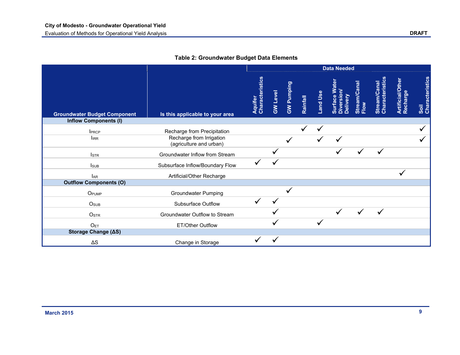|                                     |                                                     | <b>Data Needed</b>         |                 |            |          |          |                                      |                      |                                       |                              |                         |
|-------------------------------------|-----------------------------------------------------|----------------------------|-----------------|------------|----------|----------|--------------------------------------|----------------------|---------------------------------------|------------------------------|-------------------------|
| <b>Groundwater Budget Component</b> | Is this applicable to your area                     | Aquifer<br>Characteristics | <b>GW Level</b> | GW Pumping | Rainfall | Land Use | Surface Water<br>version<br>Delivery | Stream/Canal<br>Flow | <b>Characteristic</b><br>Stream/Canal | Artificial/Other<br>Recharge | Soil<br>Characteristics |
| <b>Inflow Components (I)</b>        |                                                     |                            |                 |            |          |          |                                      |                      |                                       |                              |                         |
| <b>IPRCP</b>                        | Recharge from Precipitation                         |                            |                 |            |          |          |                                      |                      |                                       |                              |                         |
| $I_{IRR}$                           | Recharge from Irrigation<br>(agriculture and urban) |                            |                 |            |          |          |                                      |                      |                                       |                              |                         |
| <b>I</b> <sub>STR</sub>             | Groundwater Inflow from Stream                      |                            |                 |            |          |          |                                      |                      |                                       |                              |                         |
| <b>I</b> sub                        | Subsurface Inflow/Boundary Flow                     |                            |                 |            |          |          |                                      |                      |                                       |                              |                         |
| <b>L</b> AR                         | Artificial/Other Recharge                           |                            |                 |            |          |          |                                      |                      |                                       |                              |                         |
| <b>Outflow Components (O)</b>       |                                                     |                            |                 |            |          |          |                                      |                      |                                       |                              |                         |
| OPUMP                               | <b>Groundwater Pumping</b>                          |                            |                 |            |          |          |                                      |                      |                                       |                              |                         |
| O <sub>SUB</sub>                    | Subsurface Outflow                                  |                            | ✓               |            |          |          |                                      |                      |                                       |                              |                         |
| OSTR                                | Groundwater Outflow to Stream                       |                            |                 |            |          |          |                                      |                      |                                       |                              |                         |
| O <sub>ET</sub>                     | ET/Other Outflow                                    |                            |                 |            |          |          |                                      |                      |                                       |                              |                         |
| Storage Change (AS)                 |                                                     |                            |                 |            |          |          |                                      |                      |                                       |                              |                         |
| $\Delta S$                          | Change in Storage                                   |                            |                 |            |          |          |                                      |                      |                                       |                              |                         |

#### **Table 2: Groundwater Budget Data Elements**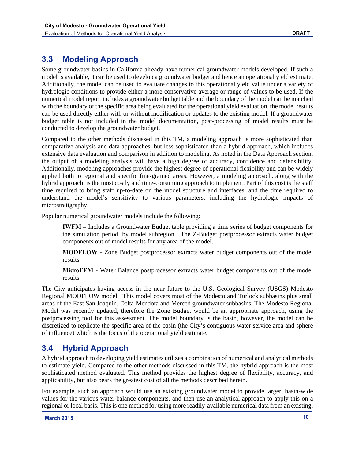### **3.3 Modeling Approach**

Some groundwater basins in California already have numerical groundwater models developed. If such a model is available, it can be used to develop a groundwater budget and hence an operational yield estimate. Additionally, the model can be used to evaluate changes to this operational yield value under a variety of hydrologic conditions to provide either a more conservative average or range of values to be used. If the numerical model report includes a groundwater budget table and the boundary of the model can be matched with the boundary of the specific area being evaluated for the operational yield evaluation, the model results can be used directly either with or without modification or updates to the existing model. If a groundwater budget table is not included in the model documentation, post-processing of model results must be conducted to develop the groundwater budget.

Compared to the other methods discussed in this TM, a modeling approach is more sophisticated than comparative analysis and data approaches, but less sophisticated than a hybrid approach, which includes extensive data evaluation and comparison in addition to modeling. As noted in the Data Approach section, the output of a modeling analysis will have a high degree of accuracy, confidence and defensibility. Additionally, modeling approaches provide the highest degree of operational flexibility and can be widely applied both to regional and specific fine-grained areas. However, a modeling approach, along with the hybrid approach, is the most costly and time-consuming approach to implement. Part of this cost is the staff time required to bring staff up-to-date on the model structure and interfaces, and the time required to understand the model's sensitivity to various parameters, including the hydrologic impacts of microstratigraphy.

Popular numerical groundwater models include the following:

**IWFM** – Includes a Groundwater Budget table providing a time series of budget components for the simulation period, by model subregion. The Z-Budget postprocessor extracts water budget components out of model results for any area of the model.

**MODFLOW** - Zone Budget postprocessor extracts water budget components out of the model results.

**MicroFEM** - Water Balance postprocessor extracts water budget components out of the model results

The City anticipates having access in the near future to the U.S. Geological Survey (USGS) Modesto Regional MODFLOW model. This model covers most of the Modesto and Turlock subbasins plus small areas of the East San Joaquin, Delta-Mendota and Merced groundwater subbasins. The Modesto Regional Model was recently updated, therefore the Zone Budget would be an appropriate approach, using the postprocessing tool for this assessment. The model boundary is the basin, however, the model can be discretized to replicate the specific area of the basin (the City's contiguous water service area and sphere of influence) which is the focus of the operational yield estimate.

### **3.4 Hybrid Approach**

A hybrid approach to developing yield estimates utilizes a combination of numerical and analytical methods to estimate yield. Compared to the other methods discussed in this TM, the hybrid approach is the most sophisticated method evaluated. This method provides the highest degree of flexibility, accuracy, and applicability, but also bears the greatest cost of all the methods described herein.

For example, such an approach would use an existing groundwater model to provide larger, basin-wide values for the various water balance components, and then use an analytical approach to apply this on a regional or local basis. This is one method for using more readily-available numerical data from an existing,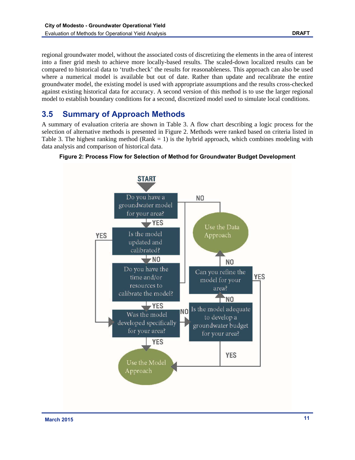regional groundwater model, without the associated costs of discretizing the elements in the area of interest into a finer grid mesh to achieve more locally-based results. The scaled-down localized results can be compared to historical data to 'truth-check' the results for reasonableness. This approach can also be used where a numerical model is available but out of date. Rather than update and recalibrate the entire groundwater model, the existing model is used with appropriate assumptions and the results cross-checked against existing historical data for accuracy. A second version of this method is to use the larger regional model to establish boundary conditions for a second, discretized model used to simulate local conditions.

### **3.5 Summary of Approach Methods**

A summary of evaluation criteria are shown in Table 3. A flow chart describing a logic process for the selection of alternative methods is presented in Figure 2. Methods were ranked based on criteria listed in Table 3. The highest ranking method (Rank  $= 1$ ) is the hybrid approach, which combines modeling with data analysis and comparison of historical data.



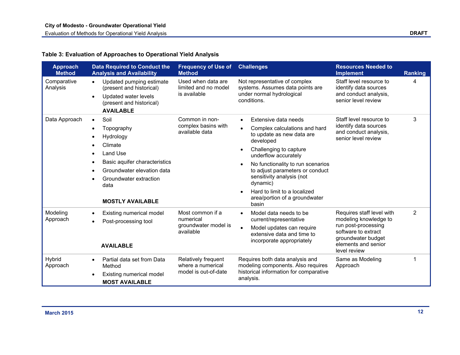#### **Table 3: Evaluation of Approaches to Operational Yield Analysis**

| <b>Approach</b><br><b>Method</b> | <b>Data Required to Conduct the</b><br><b>Analysis and Availability</b>                                                                                                                                                   | <b>Frequency of Use of</b><br><b>Method</b>                        | <b>Challenges</b>                                                                                                                                                                                                                                                                                                                                                                                             | <b>Resources Needed to</b><br><b>Implement</b>                                                                                                                | <b>Ranking</b> |
|----------------------------------|---------------------------------------------------------------------------------------------------------------------------------------------------------------------------------------------------------------------------|--------------------------------------------------------------------|---------------------------------------------------------------------------------------------------------------------------------------------------------------------------------------------------------------------------------------------------------------------------------------------------------------------------------------------------------------------------------------------------------------|---------------------------------------------------------------------------------------------------------------------------------------------------------------|----------------|
| Comparative<br>Analysis          | Updated pumping estimate<br>$\bullet$<br>(present and historical)<br>Updated water levels<br>$\bullet$<br>(present and historical)<br><b>AVAILABLE</b>                                                                    | Used when data are<br>limited and no model<br>is available         | Not representative of complex<br>systems. Assumes data points are<br>under normal hydrological<br>conditions.                                                                                                                                                                                                                                                                                                 | Staff level resource to<br>identify data sources<br>and conduct analysis,<br>senior level review                                                              | Δ              |
| Data Approach                    | Soil<br>$\bullet$<br>Topography<br>Hydrology<br>Climate<br>Land Use<br>$\bullet$<br>Basic aquifer characteristics<br>Groundwater elevation data<br>Groundwater extraction<br>$\bullet$<br>data<br><b>MOSTLY AVAILABLE</b> | Common in non-<br>complex basins with<br>available data            | Extensive data needs<br>$\bullet$<br>Complex calculations and hard<br>$\bullet$<br>to update as new data are<br>developed<br>Challenging to capture<br>$\bullet$<br>underflow accurately<br>No functionality to run scenarios<br>$\bullet$<br>to adjust parameters or conduct<br>sensitivity analysis (not<br>dynamic)<br>Hard to limit to a localized<br>$\bullet$<br>area/portion of a groundwater<br>basin | Staff level resource to<br>identify data sources<br>and conduct analysis,<br>senior level review                                                              | 3              |
| Modeling<br>Approach             | Existing numerical model<br>$\bullet$<br>Post-processing tool<br><b>AVAILABLE</b>                                                                                                                                         | Most common if a<br>numerical<br>groundwater model is<br>available | Model data needs to be<br>$\bullet$<br>current/representative<br>Model updates can require<br>$\bullet$<br>extensive data and time to<br>incorporate appropriately                                                                                                                                                                                                                                            | Requires staff level with<br>modeling knowledge to<br>run post-processing<br>software to extract<br>groundwater budget<br>elements and senior<br>level review | $\overline{2}$ |
| Hybrid<br>Approach               | Partial data set from Data<br>$\bullet$<br>Method<br>Existing numerical model<br>$\bullet$<br><b>MOST AVAILABLE</b>                                                                                                       | Relatively frequent<br>where a numerical<br>model is out-of-date   | Requires both data analysis and<br>modeling components. Also requires<br>historical information for comparative<br>analysis.                                                                                                                                                                                                                                                                                  | Same as Modeling<br>Approach                                                                                                                                  |                |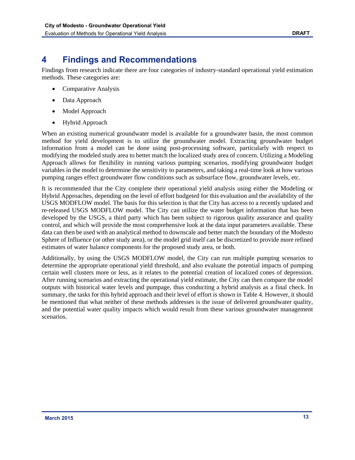# **4 Findings and Recommendations**

Findings from research indicate there are four categories of industry-standard operational yield estimation methods. These categories are:

- Comparative Analysis
- Data Approach
- Model Approach
- Hybrid Approach

When an existing numerical groundwater model is available for a groundwater basin, the most common method for yield development is to utilize the groundwater model. Extracting groundwater budget information from a model can be done using post-processing software, particularly with respect to modifying the modeled study area to better match the localized study area of concern. Utilizing a Modeling Approach allows for flexibility in running various pumping scenarios, modifying groundwater budget variables in the model to determine the sensitivity to parameters, and taking a real-time look at how various pumping ranges effect groundwater flow conditions such as subsurface flow, groundwater levels, etc.

It is recommended that the City complete their operational yield analysis using either the Modeling or Hybrid Approaches, depending on the level of effort budgeted for this evaluation and the availability of the USGS MODFLOW model. The basis for this selection is that the City has access to a recently updated and re-released USGS MODFLOW model. The City can utilize the water budget information that has been developed by the USGS, a third party which has been subject to rigorous quality assurance and quality control, and which will provide the most comprehensive look at the data input parameters available. These data can then be used with an analytical method to downscale and better match the boundary of the Modesto Sphere of Influence (or other study area), or the model grid itself can be discretized to provide more refined estimates of water balance components for the proposed study area, or both.

Additionally, by using the USGS MODFLOW model, the City can run multiple pumping scenarios to determine the appropriate operational yield threshold, and also evaluate the potential impacts of pumping certain well clusters more or less, as it relates to the potential creation of localized cones of depression. After running scenarios and extracting the operational yield estimate, the City can then compare the model outputs with historical water levels and pumpage, thus conducting a hybrid analysis as a final check. In summary, the tasks for this hybrid approach and their level of effort is shown in Table 4. However, it should be mentioned that what neither of these methods addresses is the issue of delivered groundwater quality, and the potential water quality impacts which would result from these various groundwater management scenarios.